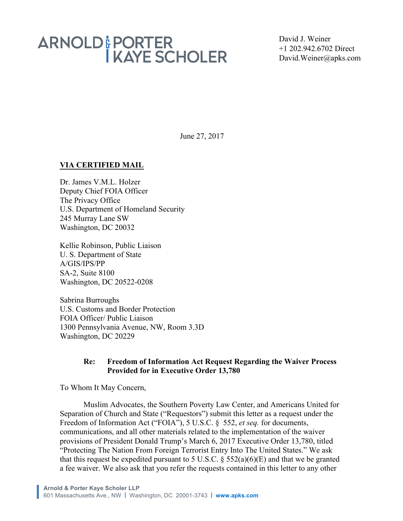David J. Weiner +1 202.942.6702 Direct David.Weiner@apks.com

June 27, 2017

### **VIA CERTIFIED MAIL**

Dr. James V.M.L. Holzer Deputy Chief FOIA Officer The Privacy Office U.S. Department of Homeland Security 245 Murray Lane SW Washington, DC 20032

Kellie Robinson, Public Liaison U. S. Department of State A/GIS/IPS/PP SA-2, Suite 8100 Washington, DC 20522-0208

Sabrina Burroughs U.S. Customs and Border Protection FOIA Officer/ Public Liaison 1300 Pennsylvania Avenue, NW, Room 3.3D Washington, DC 20229

### **Re: Freedom of Information Act Request Regarding the Waiver Process Provided for in Executive Order 13,780**

To Whom It May Concern,

Muslim Advocates, the Southern Poverty Law Center, and Americans United for Separation of Church and State ("Requestors") submit this letter as a request under the Freedom of Information Act ("FOIA"), 5 U.S.C. § 552, *et seq.* for documents, communications, and all other materials related to the implementation of the waiver provisions of President Donald Trump's March 6, 2017 Executive Order 13,780, titled "Protecting The Nation From Foreign Terrorist Entry Into The United States." We ask that this request be expedited pursuant to 5 U.S.C.  $\S$  552(a)(6)(E) and that we be granted a fee waiver. We also ask that you refer the requests contained in this letter to any other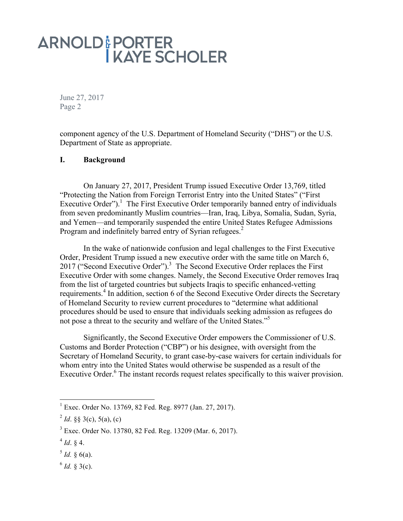June 27, 2017 Page 2

component agency of the U.S. Department of Homeland Security ("DHS") or the U.S. Department of State as appropriate.

#### **I. Background**

On January 27, 2017, President Trump issued Executive Order 13,769, titled "Protecting the Nation from Foreign Terrorist Entry into the United States" ("First Executive Order").<sup>1</sup> The First Executive Order temporarily banned entry of individuals from seven predominantly Muslim countries—Iran, Iraq, Libya, Somalia, Sudan, Syria, and Yemen—and temporarily suspended the entire United States Refugee Admissions Program and indefinitely barred entry of Syrian refugees.<sup>2</sup>

In the wake of nationwide confusion and legal challenges to the First Executive Order, President Trump issued a new executive order with the same title on March 6, 2017 ("Second Executive Order").<sup>3</sup> The Second Executive Order replaces the First Executive Order with some changes. Namely, the Second Executive Order removes Iraq from the list of targeted countries but subjects Iraqis to specific enhanced-vetting requirements.<sup>4</sup> In addition, section 6 of the Second Executive Order directs the Secretary of Homeland Security to review current procedures to "determine what additional procedures should be used to ensure that individuals seeking admission as refugees do not pose a threat to the security and welfare of the United States."<sup>5</sup>

Significantly, the Second Executive Order empowers the Commissioner of U.S. Customs and Border Protection ("CBP") or his designee, with oversight from the Secretary of Homeland Security, to grant case-by-case waivers for certain individuals for whom entry into the United States would otherwise be suspended as a result of the Executive Order.<sup>6</sup> The instant records request relates specifically to this waiver provision.

 $1\text{ E}$  Exec. Order No. 13769, 82 Fed. Reg. 8977 (Jan. 27, 2017).

 $^{2}$  *Id.* §§ 3(c), 5(a), (c)

<sup>3</sup> Exec. Order No. 13780, 82 Fed. Reg. 13209 (Mar. 6, 2017).

 $^{4}$  *Id.* § 4.

 $5$  *Id.* § 6(a).

 $^{6}$  *Id.* § 3(c).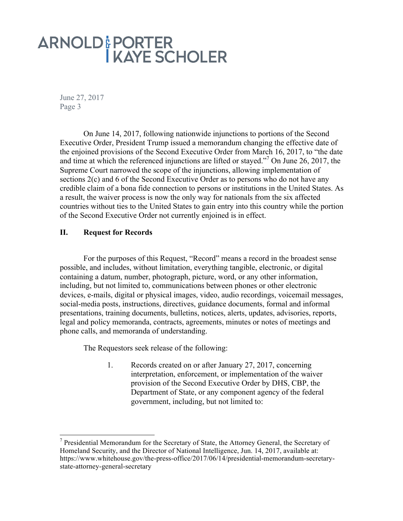June 27, 2017 Page 3

On June 14, 2017, following nationwide injunctions to portions of the Second Executive Order, President Trump issued a memorandum changing the effective date of the enjoined provisions of the Second Executive Order from March 16, 2017, to "the date and time at which the referenced injunctions are lifted or stayed."7 On June 26, 2017, the Supreme Court narrowed the scope of the injunctions, allowing implementation of sections 2(c) and 6 of the Second Executive Order as to persons who do not have any credible claim of a bona fide connection to persons or institutions in the United States. As a result, the waiver process is now the only way for nationals from the six affected countries without ties to the United States to gain entry into this country while the portion of the Second Executive Order not currently enjoined is in effect.

### **II. Request for Records**

For the purposes of this Request, "Record" means a record in the broadest sense possible, and includes, without limitation, everything tangible, electronic, or digital containing a datum, number, photograph, picture, word, or any other information, including, but not limited to, communications between phones or other electronic devices, e-mails, digital or physical images, video, audio recordings, voicemail messages, social-media posts, instructions, directives, guidance documents, formal and informal presentations, training documents, bulletins, notices, alerts, updates, advisories, reports, legal and policy memoranda, contracts, agreements, minutes or notes of meetings and phone calls, and memoranda of understanding.

The Requestors seek release of the following:

1. Records created on or after January 27, 2017, concerning interpretation, enforcement, or implementation of the waiver provision of the Second Executive Order by DHS, CBP, the Department of State, or any component agency of the federal government, including, but not limited to:

 $<sup>7</sup>$  Presidential Memorandum for the Secretary of State, the Attorney General, the Secretary of</sup> Homeland Security, and the Director of National Intelligence, Jun. 14, 2017, available at: https://www.whitehouse.gov/the-press-office/2017/06/14/presidential-memorandum-secretarystate-attorney-general-secretary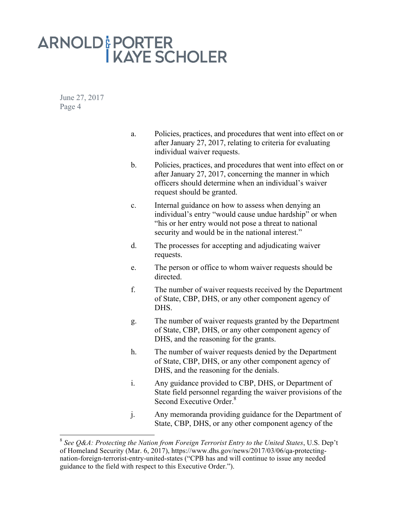June 27, 2017 Page 4

- a. Policies, practices, and procedures that went into effect on or after January 27, 2017, relating to criteria for evaluating individual waiver requests.
- b. Policies, practices, and procedures that went into effect on or after January 27, 2017, concerning the manner in which officers should determine when an individual's waiver request should be granted.
- c. Internal guidance on how to assess when denying an individual's entry "would cause undue hardship" or when "his or her entry would not pose a threat to national security and would be in the national interest."
- d. The processes for accepting and adjudicating waiver requests.
- e. The person or office to whom waiver requests should be directed.
- f. The number of waiver requests received by the Department of State, CBP, DHS, or any other component agency of DHS.
- g. The number of waiver requests granted by the Department of State, CBP, DHS, or any other component agency of DHS, and the reasoning for the grants.
- h. The number of waiver requests denied by the Department of State, CBP, DHS, or any other component agency of DHS, and the reasoning for the denials.
- i. Any guidance provided to CBP, DHS, or Department of State field personnel regarding the waiver provisions of the Second Executive Order.<sup>8</sup>
- j. Any memoranda providing guidance for the Department of State, CBP, DHS, or any other component agency of the

 <sup>8</sup> *See Q&A: Protecting the Nation from Foreign Terrorist Entry to the United States*, U.S. Dep't of Homeland Security (Mar. 6, 2017), https://www.dhs.gov/news/2017/03/06/qa-protectingnation-foreign-terrorist-entry-united-states ("CPB has and will continue to issue any needed guidance to the field with respect to this Executive Order.").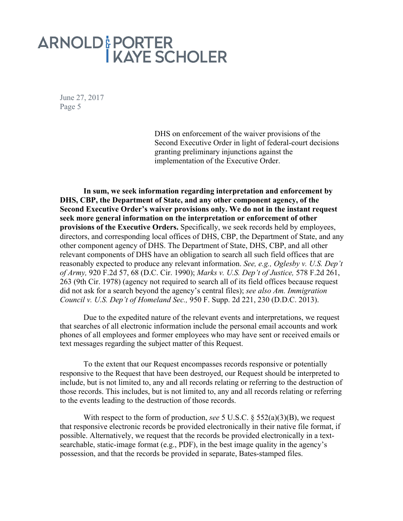June 27, 2017 Page 5

> DHS on enforcement of the waiver provisions of the Second Executive Order in light of federal-court decisions granting preliminary injunctions against the implementation of the Executive Order.

**In sum, we seek information regarding interpretation and enforcement by DHS, CBP, the Department of State, and any other component agency, of the Second Executive Order's waiver provisions only. We do not in the instant request seek more general information on the interpretation or enforcement of other provisions of the Executive Orders.** Specifically, we seek records held by employees, directors, and corresponding local offices of DHS, CBP, the Department of State, and any other component agency of DHS. The Department of State, DHS, CBP, and all other relevant components of DHS have an obligation to search all such field offices that are reasonably expected to produce any relevant information. *See, e.g., Oglesby v. U.S. Dep't of Army,* 920 F.2d 57, 68 (D.C. Cir. 1990); *Marks v. U.S. Dep't of Justice,* 578 F.2d 261, 263 (9th Cir. 1978) (agency not required to search all of its field offices because request did not ask for a search beyond the agency's central files); *see also Am. Immigration Council v. U.S. Dep't of Homeland Sec.,* 950 F. Supp. 2d 221, 230 (D.D.C. 2013).

Due to the expedited nature of the relevant events and interpretations, we request that searches of all electronic information include the personal email accounts and work phones of all employees and former employees who may have sent or received emails or text messages regarding the subject matter of this Request.

To the extent that our Request encompasses records responsive or potentially responsive to the Request that have been destroyed, our Request should be interpreted to include, but is not limited to, any and all records relating or referring to the destruction of those records. This includes, but is not limited to, any and all records relating or referring to the events leading to the destruction of those records.

With respect to the form of production, *see* 5 U.S.C. § 552(a)(3)(B), we request that responsive electronic records be provided electronically in their native file format, if possible. Alternatively, we request that the records be provided electronically in a textsearchable, static-image format (e.g., PDF), in the best image quality in the agency's possession, and that the records be provided in separate, Bates-stamped files.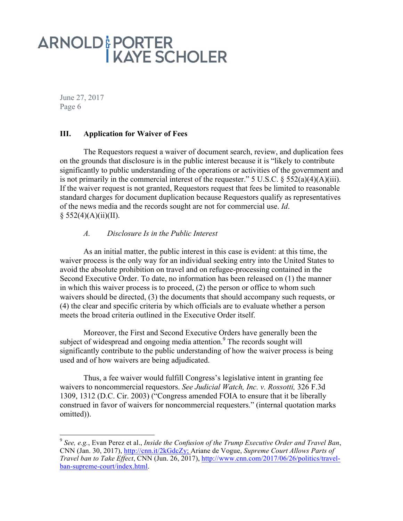June 27, 2017 Page 6

### **III. Application for Waiver of Fees**

The Requestors request a waiver of document search, review, and duplication fees on the grounds that disclosure is in the public interest because it is "likely to contribute significantly to public understanding of the operations or activities of the government and is not primarily in the commercial interest of the requester." 5 U.S.C.  $\S$  552(a)(4)(A)(iii). If the waiver request is not granted, Requestors request that fees be limited to reasonable standard charges for document duplication because Requestors qualify as representatives of the news media and the records sought are not for commercial use. *Id*.  $§ 552(4)(A)(ii)(II).$ 

### *A. Disclosure Is in the Public Interest*

As an initial matter, the public interest in this case is evident: at this time, the waiver process is the only way for an individual seeking entry into the United States to avoid the absolute prohibition on travel and on refugee-processing contained in the Second Executive Order. To date, no information has been released on (1) the manner in which this waiver process is to proceed, (2) the person or office to whom such waivers should be directed, (3) the documents that should accompany such requests, or (4) the clear and specific criteria by which officials are to evaluate whether a person meets the broad criteria outlined in the Executive Order itself.

Moreover, the First and Second Executive Orders have generally been the subject of widespread and ongoing media attention.<sup>9</sup> The records sought will significantly contribute to the public understanding of how the waiver process is being used and of how waivers are being adjudicated.

Thus, a fee waiver would fulfill Congress's legislative intent in granting fee waivers to noncommercial requestors. *See Judicial Watch, Inc. v. Rossotti,* 326 F.3d 1309, 1312 (D.C. Cir. 2003) ("Congress amended FOIA to ensure that it be liberally construed in favor of waivers for noncommercial requesters." (internal quotation marks omitted)).

 <sup>9</sup> *See, e.g.*, Evan Perez et al., *Inside the Confusion of the Trump Executive Order and Travel Ban*, CNN (Jan. 30, 2017), http://cnn.it/2kGdcZy; Ariane de Vogue, *Supreme Court Allows Parts of Travel ban to Take Effect*, CNN (Jun. 26, 2017), http://www.cnn.com/2017/06/26/politics/travelban-supreme-court/index.html.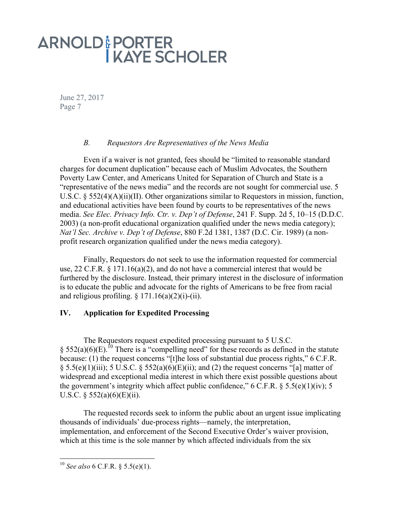June 27, 2017 Page 7

### *B. Requestors Are Representatives of the News Media*

Even if a waiver is not granted, fees should be "limited to reasonable standard charges for document duplication" because each of Muslim Advocates, the Southern Poverty Law Center, and Americans United for Separation of Church and State is a "representative of the news media" and the records are not sought for commercial use. 5 U.S.C. § 552(4)(A)(ii)(II). Other organizations similar to Requestors in mission, function, and educational activities have been found by courts to be representatives of the news media. *See Elec. Privacy Info. Ctr. v. Dep't of Defense*, 241 F. Supp. 2d 5, 10–15 (D.D.C. 2003) (a non-profit educational organization qualified under the news media category); *Nat'l Sec. Archive v. Dep't of Defense*, 880 F.2d 1381, 1387 (D.C. Cir. 1989) (a nonprofit research organization qualified under the news media category).

Finally, Requestors do not seek to use the information requested for commercial use, 22 C.F.R. § 171.16(a)(2), and do not have a commercial interest that would be furthered by the disclosure. Instead, their primary interest in the disclosure of information is to educate the public and advocate for the rights of Americans to be free from racial and religious profiling.  $\S 171.16(a)(2)(i)$ -(ii).

### **IV. Application for Expedited Processing**

The Requestors request expedited processing pursuant to 5 U.S.C. §  $552(a)(6)$ (E).<sup>10</sup> There is a "compelling need" for these records as defined in the statute because: (1) the request concerns "[t]he loss of substantial due process rights," 6 C.F.R. § 5.5(e)(1)(iii); 5 U.S.C. § 552(a)(6)(E)(ii); and (2) the request concerns "[a] matter of widespread and exceptional media interest in which there exist possible questions about the government's integrity which affect public confidence," 6 C.F.R.  $\S$  5.5(e)(1)(iv); 5 U.S.C.  $\S$  552(a)(6)(E)(ii).

The requested records seek to inform the public about an urgent issue implicating thousands of individuals' due-process rights—namely, the interpretation, implementation, and enforcement of the Second Executive Order's waiver provision, which at this time is the sole manner by which affected individuals from the six

 <sup>10</sup> *See also* 6 C.F.R. § 5.5(e)(1).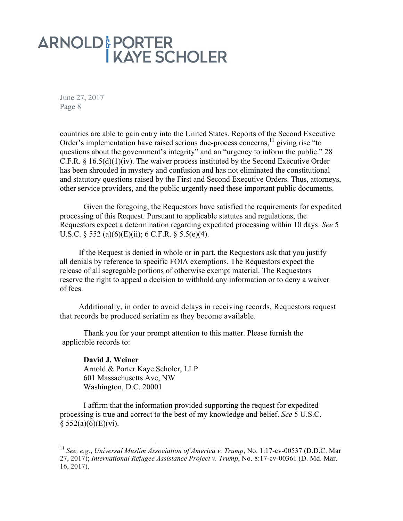June 27, 2017 Page 8

countries are able to gain entry into the United States. Reports of the Second Executive Order's implementation have raised serious due-process concerns,  $\frac{11}{12}$  giving rise "to" questions about the government's integrity" and an "urgency to inform the public." 28 C.F.R.  $\S 16.5(d)(1)(iv)$ . The waiver process instituted by the Second Executive Order has been shrouded in mystery and confusion and has not eliminated the constitutional and statutory questions raised by the First and Second Executive Orders. Thus, attorneys, other service providers, and the public urgently need these important public documents.

Given the foregoing, the Requestors have satisfied the requirements for expedited processing of this Request. Pursuant to applicable statutes and regulations, the Requestors expect a determination regarding expedited processing within 10 days. *See* 5 U.S.C.  $\S$  552 (a)(6)(E)(ii); 6 C.F.R.  $\S$  5.5(e)(4).

If the Request is denied in whole or in part, the Requestors ask that you justify all denials by reference to specific FOIA exemptions. The Requestors expect the release of all segregable portions of otherwise exempt material. The Requestors reserve the right to appeal a decision to withhold any information or to deny a waiver of fees.

Additionally, in order to avoid delays in receiving records, Requestors request that records be produced seriatim as they become available.

Thank you for your prompt attention to this matter. Please furnish the applicable records to:

**David J. Weiner** Arnold & Porter Kaye Scholer, LLP 601 Massachusetts Ave, NW Washington, D.C. 20001

I affirm that the information provided supporting the request for expedited processing is true and correct to the best of my knowledge and belief. *See* 5 U.S.C.  $§ 552(a)(6)(E)(vi).$ 

 <sup>11</sup> *See, e.g.*, *Universal Muslim Association of America v. Trump*, No. 1:17-cv-00537 (D.D.C. Mar 27, 2017); *International Refugee Assistance Project v. Trump*, No. 8:17-cv-00361 (D. Md. Mar. 16, 2017).